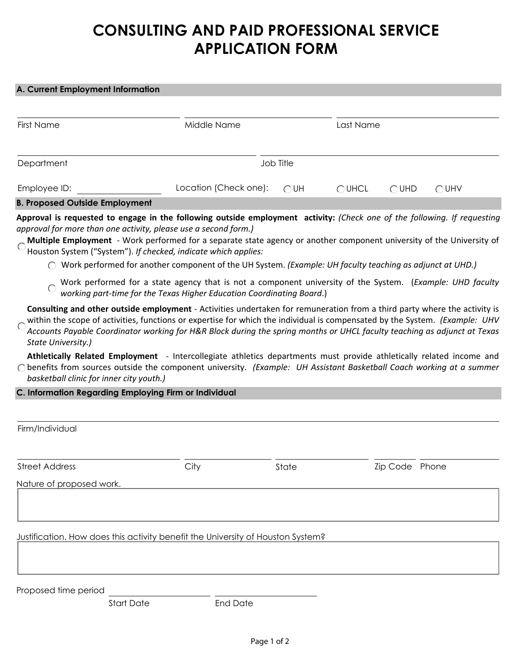## **CONSULTING AND PAID PROFESSIONAL SERVICE APPLICATION FORM**

## **A. Current Employment Information**

| <b>First Name</b>                     | Middle Name                         |           | Last Name       |                |                |
|---------------------------------------|-------------------------------------|-----------|-----------------|----------------|----------------|
| Department                            |                                     | Job Title |                 |                |                |
| Employee ID:                          | Location (Check one): $\bigcirc$ UH |           | $\bigcirc$ UHCL | $\bigcirc$ UHD | $\bigcirc$ UHV |
| <b>B. Proposed Outside Employment</b> |                                     |           |                 |                |                |

**Approval is requested to engage in the following outside employment activity:** *(Check one of the following. If requesting approval for more than one activity, please use a second form.)*

- **Multiple Employment** Work performed for a separate state agency or another component university of the University of  $\overline{C}$ Houston System ("System"). *If checked, indicate which applies:*
	- Work performed for another component of the UH System. *(Example: UH faculty teaching as adjunct at UHD.)*
	- Work performed for a state agency that is not a component university of the System. (*Example: UHD faculty*   $\overline{O}$ *working part-time for the Texas Higher Education Coordinating Board*.)

**Consulting and other outside employment** - Activities undertaken for remuneration from a third party where the activity is within the scope of activities, functions or expertise for which the individual is compensated by the System. *(Example: UHV Accounts Payable Coordinator working for H&R Block during the spring months or UHCL faculty teaching as adjunct at Texas State University.)*

**Athletically Related Employment** - Intercollegiate athletics departments must provide athletically related income and benefits from sources outside the component university. *(Example: UH Assistant Basketball Coach working at a summer basketball clinic for inner city youth.)*

## **C. Information Regarding Employing Firm or Individual**

| Firm/Individual                                                                 |      |       |                          |  |
|---------------------------------------------------------------------------------|------|-------|--------------------------|--|
|                                                                                 |      |       | $\overline{\phantom{0}}$ |  |
| <b>Street Address</b>                                                           | City | State | Zip Code Phone           |  |
| Nature of proposed work.                                                        |      |       |                          |  |
|                                                                                 |      |       |                          |  |
|                                                                                 |      |       |                          |  |
|                                                                                 |      |       |                          |  |
| Justification. How does this activity benefit the University of Houston System? |      |       |                          |  |
|                                                                                 |      |       |                          |  |

Proposed time period

Start Date End Date